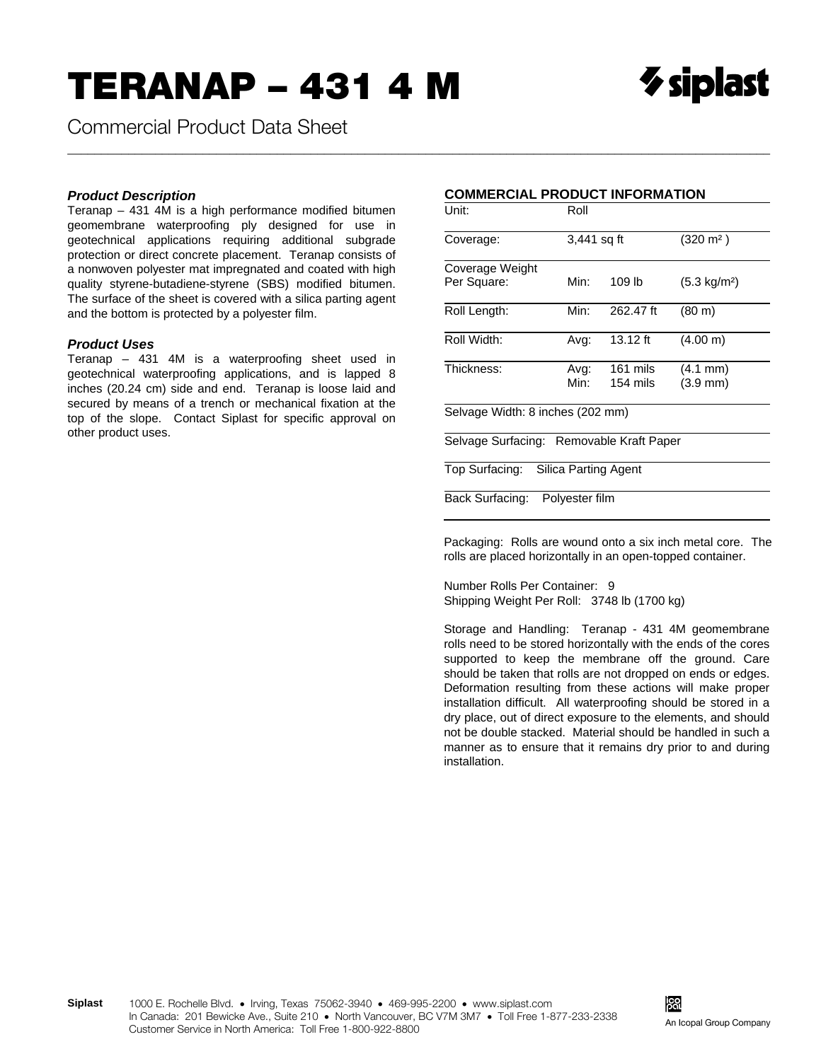**Commercial Product Data Sheet** 

## **Product Description**

Teranap - 431 4M is a high performance modified bitumen geomembrane waterproofing ply designed for use in geotechnical applications requiring additional subgrade protection or direct concrete placement. Teranap consists of a nonwoven polyester mat impregnated and coated with high quality styrene-butadiene-styrene (SBS) modified bitumen. The surface of the sheet is covered with a silica parting agent and the bottom is protected by a polyester film.

## **Product Uses**

Teranap - 431 4M is a waterproofing sheet used in geotechnical waterproofing applications, and is lapped 8 inches (20.24 cm) side and end. Teranap is loose laid and secured by means of a trench or mechanical fixation at the top of the slope. Contact Siplast for specific approval on other product uses.

## **COMMERCIAL PRODUCT INFORMATION**

| Unit:                                    | Roll           |                      |                                          |  |  |
|------------------------------------------|----------------|----------------------|------------------------------------------|--|--|
| Coverage:                                | 3,441 sq ft    |                      | $(320 \text{ m}^2)$                      |  |  |
| Coverage Weight                          |                |                      |                                          |  |  |
| Per Square:                              | Min:           | 109 lb               | $(5.3 \text{ kg/m}^2)$                   |  |  |
| Roll Length:                             | Min:           | 262.47 ft            | $(80 \; \text{m})$                       |  |  |
| Roll Width:                              | Avg:           | 13.12 ft             | (4.00 m)                                 |  |  |
| Thickness:                               | Avg:<br>Min:   | 161 mils<br>154 mils | $(4.1 \text{ mm})$<br>$(3.9 \text{ mm})$ |  |  |
| Selvage Width: 8 inches (202 mm)         |                |                      |                                          |  |  |
| Selvage Surfacing: Removable Kraft Paper |                |                      |                                          |  |  |
| Top Surfacing: Silica Parting Agent      |                |                      |                                          |  |  |
| Back Surfacing:                          | Polyester film |                      |                                          |  |  |

Packaging: Rolls are wound onto a six inch metal core. The rolls are placed horizontally in an open-topped container.

Number Rolls Per Container: 9 Shipping Weight Per Roll: 3748 lb (1700 kg)

Storage and Handling: Teranap - 431 4M geomembrane rolls need to be stored horizontally with the ends of the cores supported to keep the membrane off the ground. Care should be taken that rolls are not dropped on ends or edges. Deformation resulting from these actions will make proper installation difficult. All waterproofing should be stored in a dry place, out of direct exposure to the elements, and should not be double stacked. Material should be handled in such a manner as to ensure that it remains dry prior to and during installation.